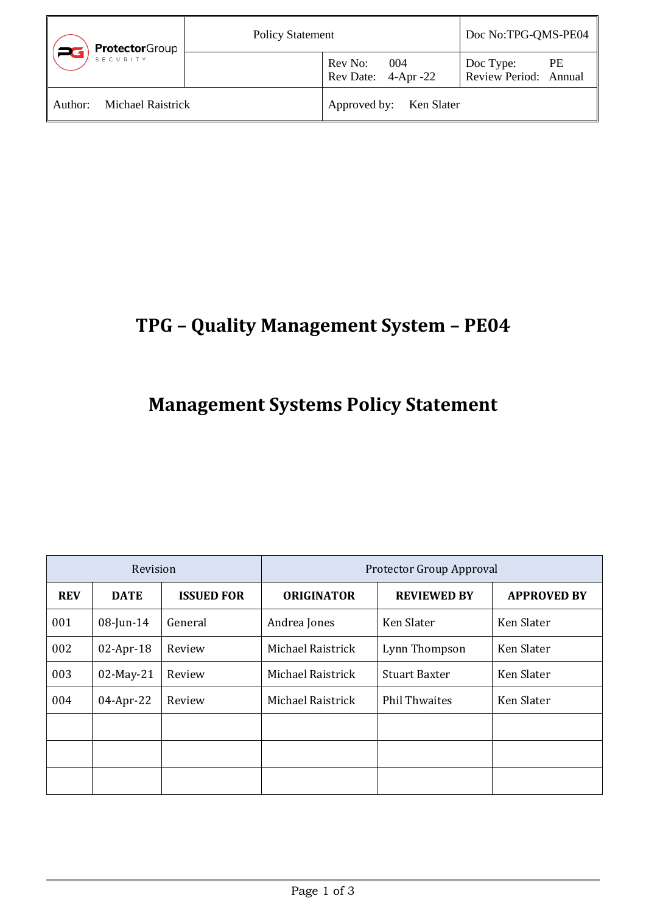| ProtectorGroup<br>SECURITY   | <b>Policy Statement</b> |                                       | Doc No:TPG-QMS-PE04                             |
|------------------------------|-------------------------|---------------------------------------|-------------------------------------------------|
|                              |                         | Rev No:<br>004<br>Rev Date: 4-Apr -22 | <b>PE</b><br>Doc Type:<br>Review Period: Annual |
| Michael Raistrick<br>Author: |                         | Approved by: Ken Slater               |                                                 |

## **TPG – Quality Management System – PE04**

## **Management Systems Policy Statement**

| Revision   |              | Protector Group Approval |                   |                      |                    |
|------------|--------------|--------------------------|-------------------|----------------------|--------------------|
| <b>REV</b> | <b>DATE</b>  | <b>ISSUED FOR</b>        | <b>ORIGINATOR</b> | <b>REVIEWED BY</b>   | <b>APPROVED BY</b> |
| 001        | $08$ -Jun-14 | General                  | Andrea Jones      | Ken Slater           | Ken Slater         |
| 002        | $02-Apr-18$  | Review                   | Michael Raistrick | Lynn Thompson        | Ken Slater         |
| 003        | 02-May-21    | Review                   | Michael Raistrick | <b>Stuart Baxter</b> | Ken Slater         |
| 004        | $04$ -Apr-22 | Review                   | Michael Raistrick | <b>Phil Thwaites</b> | Ken Slater         |
|            |              |                          |                   |                      |                    |
|            |              |                          |                   |                      |                    |
|            |              |                          |                   |                      |                    |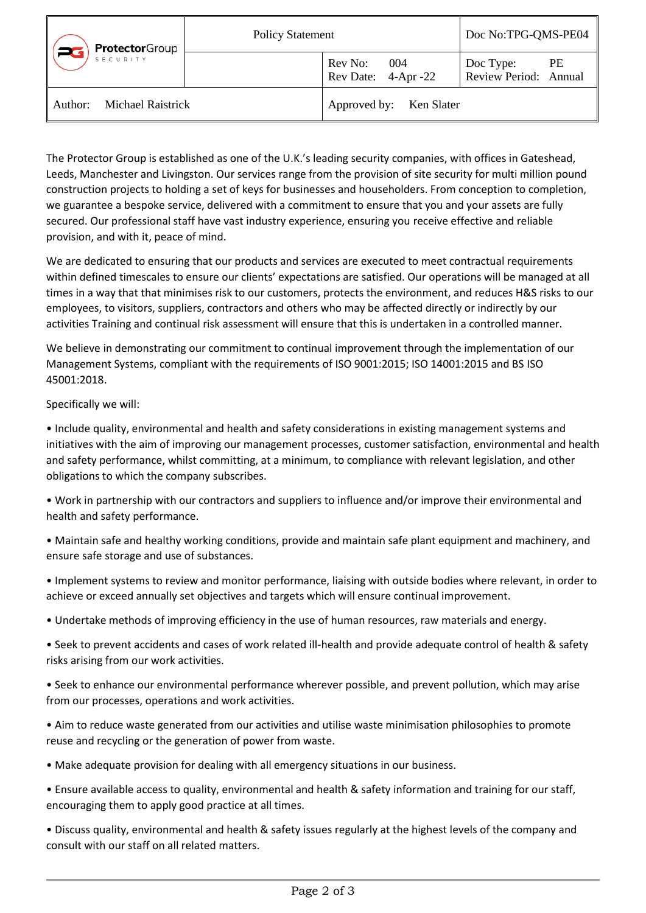| <b>Protector</b> Group<br>SECURITY | <b>Policy Statement</b> |                                                  | Doc No:TPG-QMS-PE04                      |
|------------------------------------|-------------------------|--------------------------------------------------|------------------------------------------|
|                                    |                         | Rev No: 004<br>$\frac{1}{2}$ Rev Date: 4-Apr -22 | PE<br>Doc Type:<br>Review Period: Annual |
| Michael Raistrick<br>l Author:     |                         | Approved by: Ken Slater                          |                                          |

The Protector Group is established as one of the U.K.'s leading security companies, with offices in Gateshead, Leeds, Manchester and Livingston. Our services range from the provision of site security for multi million pound construction projects to holding a set of keys for businesses and householders. From conception to completion, we guarantee a bespoke service, delivered with a commitment to ensure that you and your assets are fully secured. Our professional staff have vast industry experience, ensuring you receive effective and reliable provision, and with it, peace of mind.

We are dedicated to ensuring that our products and services are executed to meet contractual requirements within defined timescales to ensure our clients' expectations are satisfied. Our operations will be managed at all times in a way that that minimises risk to our customers, protects the environment, and reduces H&S risks to our employees, to visitors, suppliers, contractors and others who may be affected directly or indirectly by our activities Training and continual risk assessment will ensure that this is undertaken in a controlled manner.

We believe in demonstrating our commitment to continual improvement through the implementation of our Management Systems, compliant with the requirements of ISO 9001:2015; ISO 14001:2015 and BS ISO 45001:2018.

Specifically we will:

• Include quality, environmental and health and safety considerations in existing management systems and initiatives with the aim of improving our management processes, customer satisfaction, environmental and health and safety performance, whilst committing, at a minimum, to compliance with relevant legislation, and other obligations to which the company subscribes.

- Work in partnership with our contractors and suppliers to influence and/or improve their environmental and health and safety performance.
- Maintain safe and healthy working conditions, provide and maintain safe plant equipment and machinery, and ensure safe storage and use of substances.
- Implement systems to review and monitor performance, liaising with outside bodies where relevant, in order to achieve or exceed annually set objectives and targets which will ensure continual improvement.
- Undertake methods of improving efficiency in the use of human resources, raw materials and energy.
- Seek to prevent accidents and cases of work related ill-health and provide adequate control of health & safety risks arising from our work activities.
- Seek to enhance our environmental performance wherever possible, and prevent pollution, which may arise from our processes, operations and work activities.
- Aim to reduce waste generated from our activities and utilise waste minimisation philosophies to promote reuse and recycling or the generation of power from waste.
- Make adequate provision for dealing with all emergency situations in our business.
- Ensure available access to quality, environmental and health & safety information and training for our staff, encouraging them to apply good practice at all times.
- Discuss quality, environmental and health & safety issues regularly at the highest levels of the company and consult with our staff on all related matters.